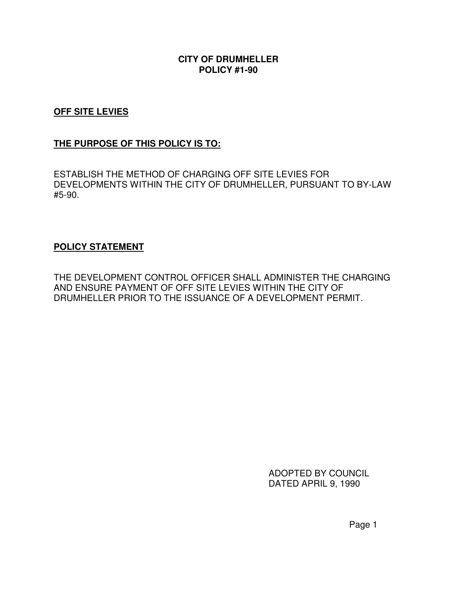#### **CITY OF DRUMHELLER POLICY #1-90**

# **OFF SITE LEVIES**

# **THE PURPOSE OF THIS POLICY IS TO:**

ESTABLISH THE METHOD OF CHARGING OFF SITE LEVIES FOR DEVELOPMENTS WITHIN THE CITY OF DRUMHELLER, PURSUANT TO BY-LAW #5-90.

#### **POLICY STATEMENT**

THE DEVELOPMENT CONTROL OFFICER SHALL ADMINISTER THE CHARGING AND ENSURE PAYMENT OF OFF SITE LEVIES WITHIN THE CITY OF DRUMHELLER PRIOR TO THE ISSUANCE OF A DEVELOPMENT PERMIT.

> ADOPTED BY COUNCIL DATED APRIL 9, 1990

> > Page 1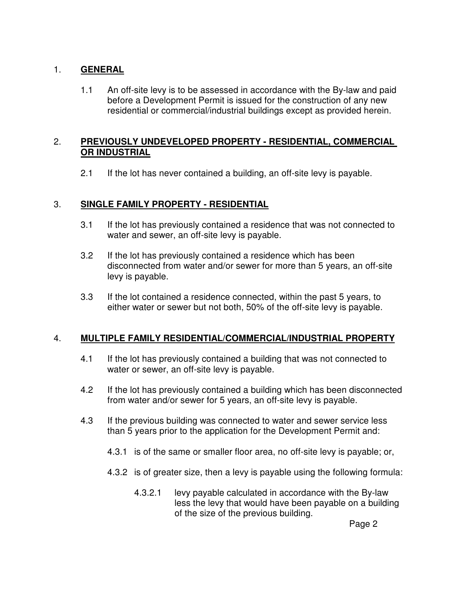# 1. **GENERAL**

1.1 An off-site levy is to be assessed in accordance with the By-law and paid before a Development Permit is issued for the construction of any new residential or commercial/industrial buildings except as provided herein.

# 2. **PREVIOUSLY UNDEVELOPED PROPERTY - RESIDENTIAL, COMMERCIAL OR INDUSTRIAL**

2.1 If the lot has never contained a building, an off-site levy is payable.

# 3. **SINGLE FAMILY PROPERTY - RESIDENTIAL**

- 3.1 If the lot has previously contained a residence that was not connected to water and sewer, an off-site levy is payable.
- 3.2 If the lot has previously contained a residence which has been disconnected from water and/or sewer for more than 5 years, an off-site levy is payable.
- 3.3 If the lot contained a residence connected, within the past 5 years, to either water or sewer but not both, 50% of the off-site levy is payable.

# 4. **MULTIPLE FAMILY RESIDENTIAL/COMMERCIAL/INDUSTRIAL PROPERTY**

- 4.1 If the lot has previously contained a building that was not connected to water or sewer, an off-site levy is payable.
- 4.2 If the lot has previously contained a building which has been disconnected from water and/or sewer for 5 years, an off-site levy is payable.
- 4.3 If the previous building was connected to water and sewer service less than 5 years prior to the application for the Development Permit and:
	- 4.3.1 is of the same or smaller floor area, no off-site levy is payable; or,
	- 4.3.2 is of greater size, then a levy is payable using the following formula:
		- 4.3.2.1 levy payable calculated in accordance with the By-law less the levy that would have been payable on a building of the size of the previous building.

Page 2